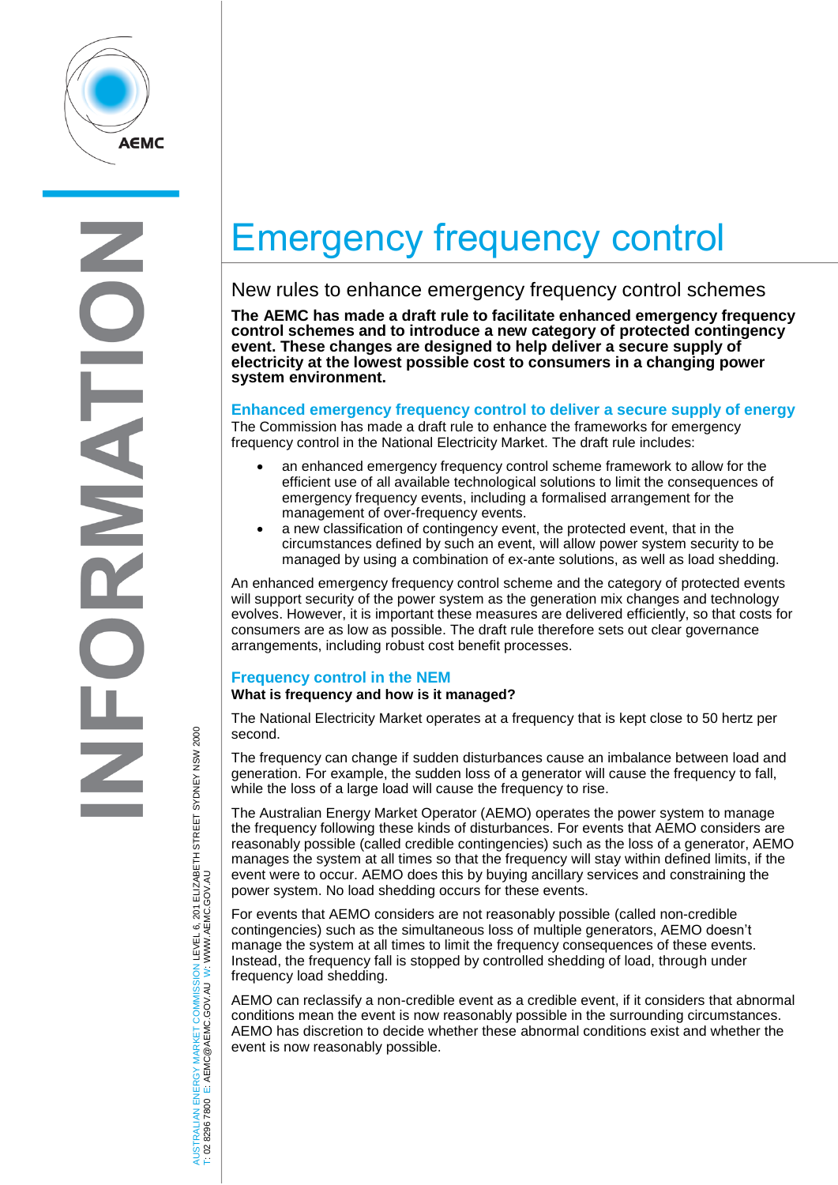

# Emergency frequency control

## New rules to enhance emergency frequency control schemes

**The AEMC has made a draft rule to facilitate enhanced emergency frequency control schemes and to introduce a new category of protected contingency event. These changes are designed to help deliver a secure supply of electricity at the lowest possible cost to consumers in a changing power system environment.**

### **Enhanced emergency frequency control to deliver a secure supply of energy**

The Commission has made a draft rule to enhance the frameworks for emergency frequency control in the National Electricity Market. The draft rule includes:

- an enhanced emergency frequency control scheme framework to allow for the efficient use of all available technological solutions to limit the consequences of emergency frequency events, including a formalised arrangement for the management of over-frequency events.
- a new classification of contingency event, the protected event, that in the circumstances defined by such an event, will allow power system security to be managed by using a combination of ex-ante solutions, as well as load shedding.

An enhanced emergency frequency control scheme and the category of protected events will support security of the power system as the generation mix changes and technology evolves. However, it is important these measures are delivered efficiently, so that costs for consumers are as low as possible. The draft rule therefore sets out clear governance arrangements, including robust cost benefit processes.

## **Frequency control in the NEM**

## **What is frequency and how is it managed?**

The National Electricity Market operates at a frequency that is kept close to 50 hertz per second.

The frequency can change if sudden disturbances cause an imbalance between load and generation. For example, the sudden loss of a generator will cause the frequency to fall, while the loss of a large load will cause the frequency to rise.

The Australian Energy Market Operator (AEMO) operates the power system to manage the frequency following these kinds of disturbances. For events that AEMO considers are reasonably possible (called credible contingencies) such as the loss of a generator, AEMO manages the system at all times so that the frequency will stay within defined limits, if the event were to occur. AEMO does this by buying ancillary services and constraining the power system. No load shedding occurs for these events.

For events that AEMO considers are not reasonably possible (called non-credible contingencies) such as the simultaneous loss of multiple generators, AEMO doesn't manage the system at all times to limit the frequency consequences of these events. Instead, the frequency fall is stopped by controlled shedding of load, through under frequency load shedding.

AEMO can reclassify a non-credible event as a credible event, if it considers that abnormal conditions mean the event is now reasonably possible in the surrounding circumstances. AEMO has discretion to decide whether these abnormal conditions exist and whether the event is now reasonably possible.

AUSTRALIAN ENERGY MARKET COMMISSION LEVEL 6, 201 ELIZABETH STREET SYDNEY NSW 2000 AUSTRALIAN ENERGY MARKET COMMISSION LEVEL 6, 201 ELIZABETH STREET SYDNEY NSW 2000<br>T: 02 8296 7800 E: AEMC@AEMC.GOV.AU W: WWW.AEMC.GOV.AU W: WWW.AEMC.GOV.AU T: 02 8296 7800 E: AEMC@AEMC.GOV.AU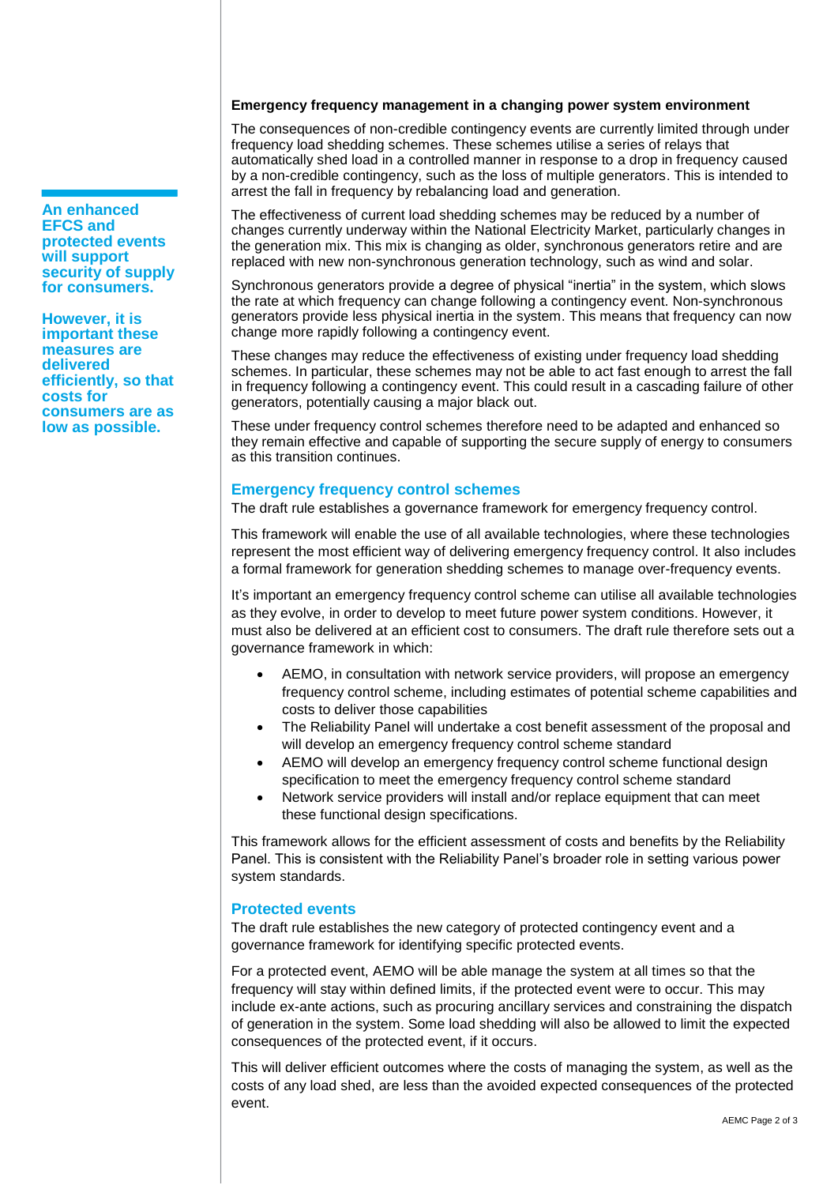#### **Emergency frequency management in a changing power system environment**

The consequences of non-credible contingency events are currently limited through under frequency load shedding schemes. These schemes utilise a series of relays that automatically shed load in a controlled manner in response to a drop in frequency caused by a non-credible contingency, such as the loss of multiple generators. This is intended to arrest the fall in frequency by rebalancing load and generation.

The effectiveness of current load shedding schemes may be reduced by a number of changes currently underway within the National Electricity Market, particularly changes in the generation mix. This mix is changing as older, synchronous generators retire and are replaced with new non-synchronous generation technology, such as wind and solar.

Synchronous generators provide a degree of physical "inertia" in the system, which slows the rate at which frequency can change following a contingency event. Non-synchronous generators provide less physical inertia in the system. This means that frequency can now change more rapidly following a contingency event.

These changes may reduce the effectiveness of existing under frequency load shedding schemes. In particular, these schemes may not be able to act fast enough to arrest the fall in frequency following a contingency event. This could result in a cascading failure of other generators, potentially causing a major black out.

These under frequency control schemes therefore need to be adapted and enhanced so they remain effective and capable of supporting the secure supply of energy to consumers as this transition continues.

#### **Emergency frequency control schemes**

The draft rule establishes a governance framework for emergency frequency control.

This framework will enable the use of all available technologies, where these technologies represent the most efficient way of delivering emergency frequency control. It also includes a formal framework for generation shedding schemes to manage over-frequency events.

It's important an emergency frequency control scheme can utilise all available technologies as they evolve, in order to develop to meet future power system conditions. However, it must also be delivered at an efficient cost to consumers. The draft rule therefore sets out a governance framework in which:

- AEMO, in consultation with network service providers, will propose an emergency frequency control scheme, including estimates of potential scheme capabilities and costs to deliver those capabilities
- The Reliability Panel will undertake a cost benefit assessment of the proposal and will develop an emergency frequency control scheme standard
- AEMO will develop an emergency frequency control scheme functional design specification to meet the emergency frequency control scheme standard
- Network service providers will install and/or replace equipment that can meet these functional design specifications.

This framework allows for the efficient assessment of costs and benefits by the Reliability Panel. This is consistent with the Reliability Panel's broader role in setting various power system standards.

#### **Protected events**

The draft rule establishes the new category of protected contingency event and a governance framework for identifying specific protected events.

For a protected event, AEMO will be able manage the system at all times so that the frequency will stay within defined limits, if the protected event were to occur. This may include ex-ante actions, such as procuring ancillary services and constraining the dispatch of generation in the system. Some load shedding will also be allowed to limit the expected consequences of the protected event, if it occurs.

This will deliver efficient outcomes where the costs of managing the system, as well as the costs of any load shed, are less than the avoided expected consequences of the protected event.

**EFCS and protected events will support security of supply for consumers.** 

**An enhanced** 

**However, it is important these measures are delivered efficiently, so that costs for consumers are as low as possible.**